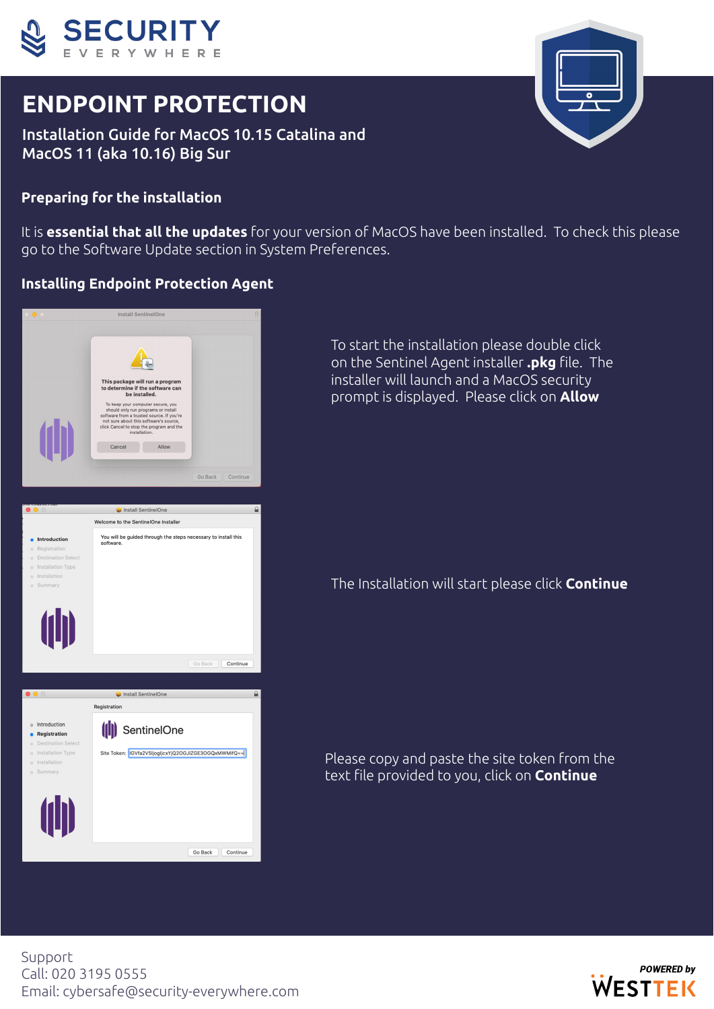

# **ENDPOINT PROTECTION**

Installation Guide for MacOS 10.15 Catalina and MacOS 11 (aka 10.16) Big Sur

# **Preparing for the installation**

It is **essential that all the updates** for your version of MacOS have been installed. To check this please go to the Software Update section in System Preferences.

#### **Installing Endpoint Protection Agent**

|                                                                                                                       | <b>Install SentinelOne</b>                                                                                                                                                                                                                                                                                                              | $\theta$      |
|-----------------------------------------------------------------------------------------------------------------------|-----------------------------------------------------------------------------------------------------------------------------------------------------------------------------------------------------------------------------------------------------------------------------------------------------------------------------------------|---------------|
| <b>(11)</b>                                                                                                           | This package will run a program<br>to determine if the software can<br>be installed.<br>To keep your computer secure, you<br>should only run programs or install<br>software from a trusted source. If you're<br>not sure about this software's source,<br>click Cancel to stop the program and the<br>installation.<br>Allow<br>Cancel |               |
|                                                                                                                       | Go Back                                                                                                                                                                                                                                                                                                                                 | Continue      |
|                                                                                                                       |                                                                                                                                                                                                                                                                                                                                         |               |
|                                                                                                                       | Install SentinelOne                                                                                                                                                                                                                                                                                                                     | ≙             |
|                                                                                                                       | Welcome to the SentinelOne Installer                                                                                                                                                                                                                                                                                                    |               |
| Introduction<br>Registration<br>n<br><b>Destination Select</b><br>Installation Type<br>Installation<br>Summary        | You will be guided through the steps necessary to install this<br>software.                                                                                                                                                                                                                                                             |               |
| (仙)                                                                                                                   | Go Back<br>Install SentinelOne                                                                                                                                                                                                                                                                                                          | Continue<br>A |
|                                                                                                                       | Registration                                                                                                                                                                                                                                                                                                                            |               |
| Introduction<br><b>Registration</b><br><b>Destination Select</b><br>Installation Type<br>Installation<br>Summary<br>۰ | (  ) SentinelOne<br>Site Token:   IGVfa2V5IjogIjcxYjQ2OGJIZGE3OGQxMWMifQ==                                                                                                                                                                                                                                                              |               |
| (11)                                                                                                                  | Go Back                                                                                                                                                                                                                                                                                                                                 | Continue      |
|                                                                                                                       |                                                                                                                                                                                                                                                                                                                                         |               |

To start the installation please double click on the Sentinel Agent installer **.pkg** file. The installer will launch and a MacOS security prompt is displayed. Please click on **Allow**

The Installation will start please click **Continue**

Please copy and paste the site token from the text file provided to you, click on **Continue**

Support Call: 020 3195 0555 Email: cybersafe@security-everywhere.com



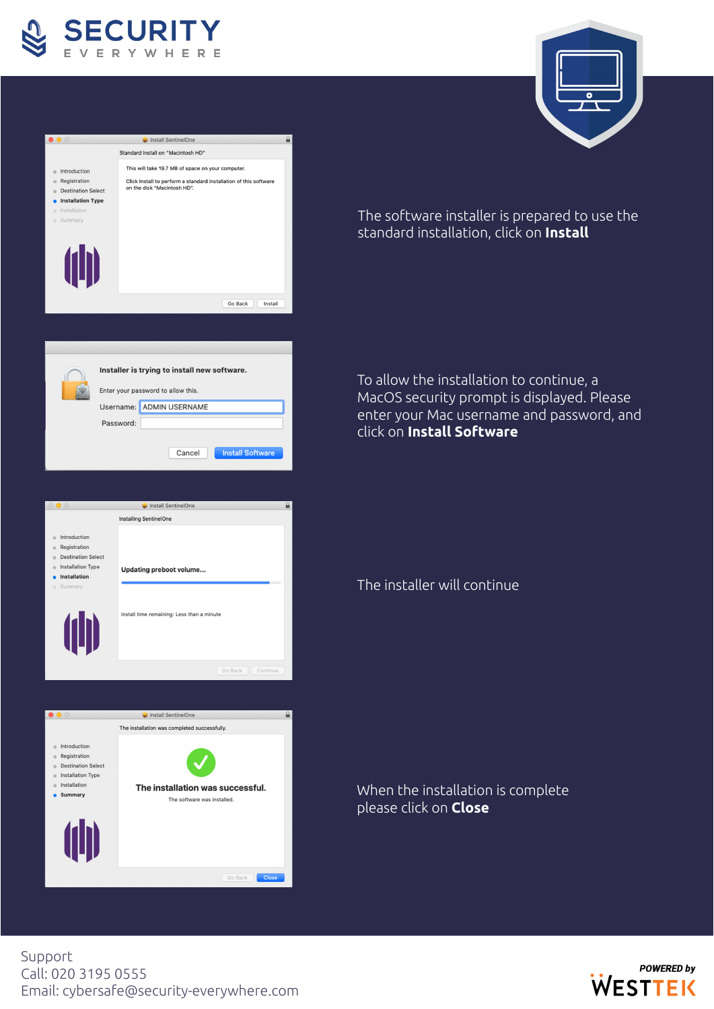

 $\bullet$ 









The software installer is prepared to use the standard installation, click on **Install**

To allow the installation to continue, a MacOS security prompt is displayed. Please enter your Mac username and password, and click on **Install Software**

# The installer will continue

#### When the installation is complete please click on **Close**

Support Call: 020 3195 0555 Email: cybersafe@security-everywhere.com

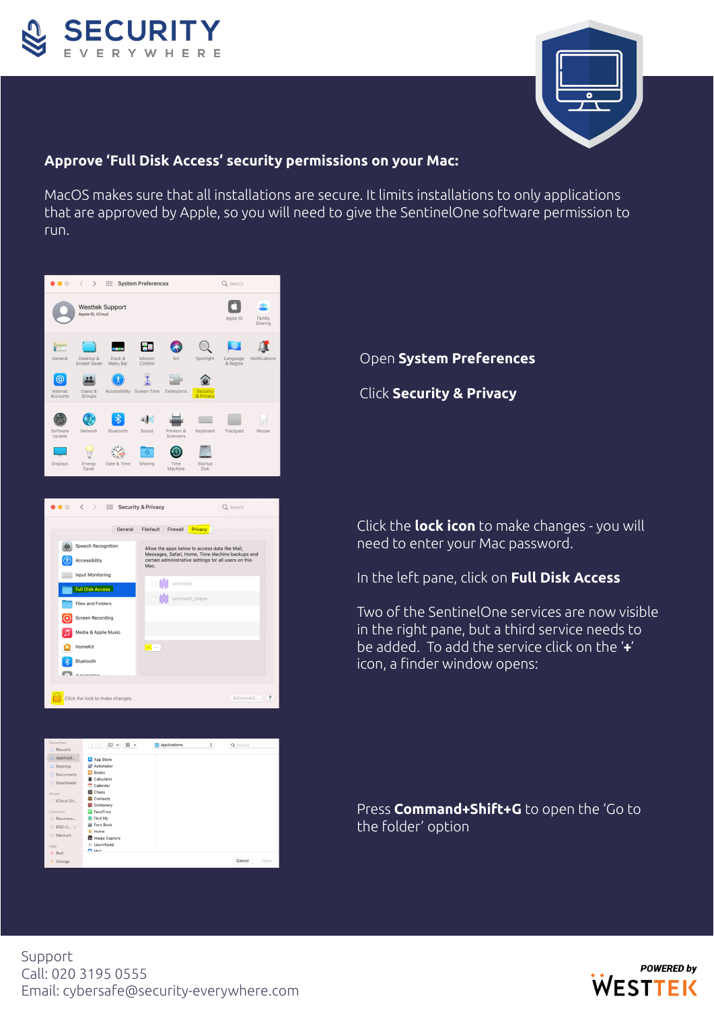



#### **Approve 'Full Disk Access' security permissions on your Mac:**

MacOS makes sure that all installations are secure. It limits installations to only applications that are approved by Apple, so you will need to give the SentinelOne software permission to run.





#### $\begin{tabular}{|c|c|c|c|c|} \hline $\circ$ & $\mathbb{R}$ & $\mathbb{R}$ \\ \hline $\circ$ & $\mathbb{R}$ & $\mathbb{R}$ \\ \hline $\circ$ & $\mathbb{R}$ & $\mathbb{R}$ \\ \hline $\circ$ & $\mathbb{R}$ & $\mathbb{R}$ \\ \hline $\circ$ & $\mathbb{R}$ & $\mathbb{R}$ \\ \hline $\circ$ & $\mathbb{R}$ & $\mathbb{R}$ \\ \hline $\circ$ & $\mathbb{R}$ & $\mathbb{R}$ & $\mathbb{R}$ \\ \hline $\circ$ & $\mathbb{R}$ & $\mathbb{R}$ & $\mathbb{R}$ \\ \hline $\circ$ & $\mathbb{R}$ & $\mathbb{R}$$ Applications  $\alpha$ Q Sean App Store **D** Books Calculato **Colonda** Chess iCloud Dri Dictionar **D** FaceTim Find My<br>
III Font Bo Macir ESD-U. O Home<br><sup>O</sup> Image C: Network Red Cancel

#### Open **System Preferences**

Click **Security & Privacy**

Click the **lock icon** to make changes - you will need to enter your Mac password.

In the left pane, click on **Full Disk Access**

Two of the SentinelOne services are now visible in the right pane, but a third service needs to be added. To add the service click on the '**+**' icon, a finder window opens:

Press **Command+Shift+G** to open the 'Go to the folder' option